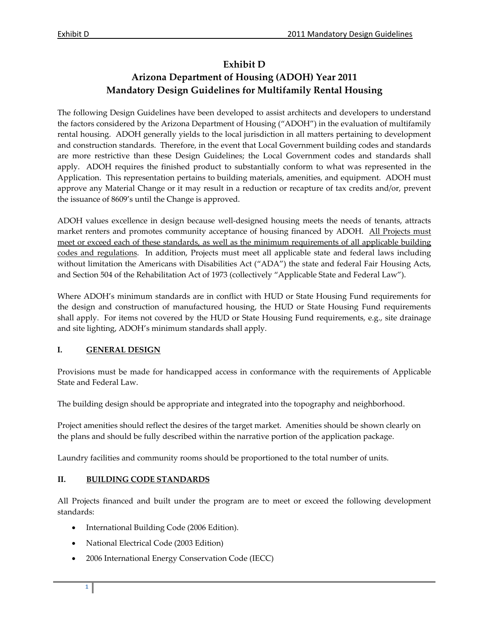# **Exhibit D Arizona Department of Housing (ADOH) Year 2011 Mandatory Design Guidelines for Multifamily Rental Housing**

The following Design Guidelines have been developed to assist architects and developers to understand the factors considered by the Arizona Department of Housing ("ADOH") in the evaluation of multifamily rental housing. ADOH generally yields to the local jurisdiction in all matters pertaining to development and construction standards. Therefore, in the event that Local Government building codes and standards are more restrictive than these Design Guidelines; the Local Government codes and standards shall apply. ADOH requires the finished product to substantially conform to what was represented in the Application. This representation pertains to building materials, amenities, and equipment. ADOH must approve any Material Change or it may result in a reduction or recapture of tax credits and/or, prevent the issuance of 8609's until the Change is approved.

ADOH values excellence in design because well‐designed housing meets the needs of tenants, attracts market renters and promotes community acceptance of housing financed by ADOH. All Projects must meet or exceed each of these standards, as well as the minimum requirements of all applicable building codes and regulations. In addition, Projects must meet all applicable state and federal laws including without limitation the Americans with Disabilities Act ("ADA") the state and federal Fair Housing Acts, and Section 504 of the Rehabilitation Act of 1973 (collectively "Applicable State and Federal Law").

Where ADOH's minimum standards are in conflict with HUD or State Housing Fund requirements for the design and construction of manufactured housing, the HUD or State Housing Fund requirements shall apply. For items not covered by the HUD or State Housing Fund requirements, e.g., site drainage and site lighting, ADOH's minimum standards shall apply.

# **I. GENERAL DESIGN**

Provisions must be made for handicapped access in conformance with the requirements of Applicable State and Federal Law.

The building design should be appropriate and integrated into the topography and neighborhood.

Project amenities should reflect the desires of the target market. Amenities should be shown clearly on the plans and should be fully described within the narrative portion of the application package.

Laundry facilities and community rooms should be proportioned to the total number of units.

### **II. BUILDING CODE STANDARDS**

All Projects financed and built under the program are to meet or exceed the following development standards:

- International Building Code (2006 Edition).
- National Electrical Code (2003 Edition)
- 2006 International Energy Conservation Code (IECC)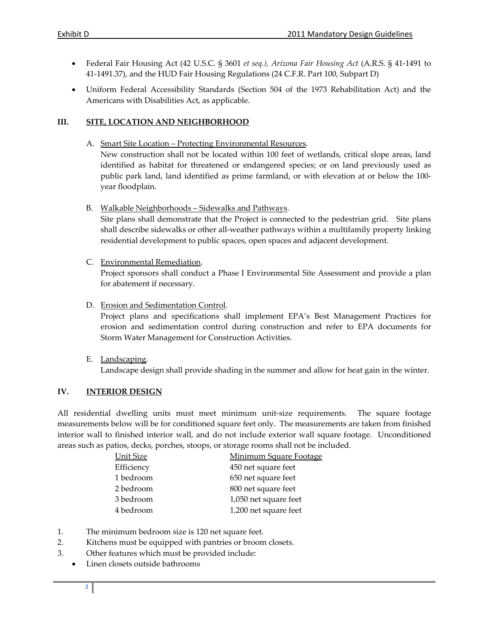- Federal Fair Housing Act (42 U.S.C. § 3601 *et seq.), Arizona Fair Housing Act* (A.R.S. § 41‐1491 to 41-1491.37), and the HUD Fair Housing Regulations (24 C.F.R. Part 100, Subpart D)
- Uniform Federal Accessibility Standards (Section 504 of the 1973 Rehabilitation Act) and the Americans with Disabilities Act, as applicable.

### **III. SITE, LOCATION AND NEIGHBORHOOD**

- A. Smart Site Location Protecting Environmental Resources. New construction shall not be located within 100 feet of wetlands, critical slope areas, land identified as habitat for threatened or endangered species; or on land previously used as public park land, land identified as prime farmland, or with elevation at or below the 100‐ year floodplain.
- B. Walkable Neighborhoods Sidewalks and Pathways.

Site plans shall demonstrate that the Project is connected to the pedestrian grid. Site plans shall describe sidewalks or other all-weather pathways within a multifamily property linking residential development to public spaces, open spaces and adjacent development.

C. Environmental Remediation.

Project sponsors shall conduct a Phase I Environmental Site Assessment and provide a plan for abatement if necessary.

D. Erosion and Sedimentation Control.

Project plans and specifications shall implement EPA's Best Management Practices for erosion and sedimentation control during construction and refer to EPA documents for Storm Water Management for Construction Activities.

E. Landscaping. Landscape design shall provide shading in the summer and allow for heat gain in the winter.

### **IV. INTERIOR DESIGN**

All residential dwelling units must meet minimum unit-size requirements. The square footage measurements below will be for conditioned square feet only. The measurements are taken from finished interior wall to finished interior wall, and do not include exterior wall square footage. Unconditioned areas such as patios, decks, porches, stoops, or storage rooms shall not be included.

| Unit Size  | <b>Minimum Square Footage</b> |
|------------|-------------------------------|
| Efficiency | 450 net square feet           |
| 1 bedroom  | 650 net square feet           |
| 2 bedroom  | 800 net square feet           |
| 3 bedroom  | 1,050 net square feet         |
| 4 bedroom  | 1,200 net square feet         |
|            |                               |

- 1. The minimum bedroom size is 120 net square feet.
- 2. Kitchens must be equipped with pantries or broom closets.
- 3. Other features which must be provided include:
	- Linen closets outside bathrooms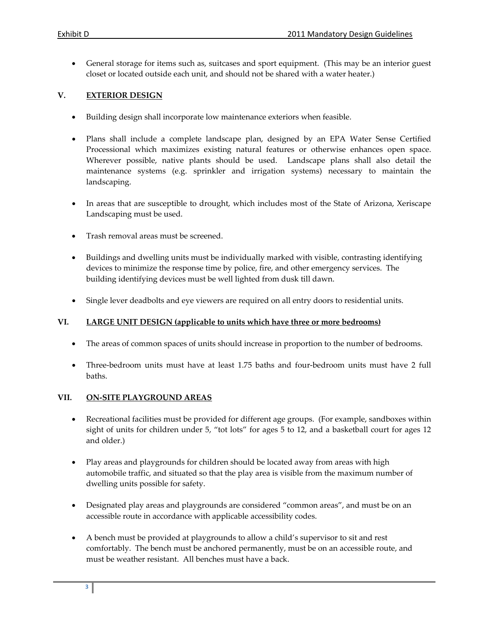• General storage for items such as, suitcases and sport equipment. (This may be an interior guest closet or located outside each unit, and should not be shared with a water heater.)

### **V. EXTERIOR DESIGN**

- Building design shall incorporate low maintenance exteriors when feasible.
- Plans shall include a complete landscape plan, designed by an EPA Water Sense Certified Processional which maximizes existing natural features or otherwise enhances open space. Wherever possible, native plants should be used. Landscape plans shall also detail the maintenance systems (e.g. sprinkler and irrigation systems) necessary to maintain the landscaping.
- In areas that are susceptible to drought, which includes most of the State of Arizona, Xeriscape Landscaping must be used.
- Trash removal areas must be screened.
- Buildings and dwelling units must be individually marked with visible, contrasting identifying devices to minimize the response time by police, fire, and other emergency services. The building identifying devices must be well lighted from dusk till dawn.
- Single lever deadbolts and eye viewers are required on all entry doors to residential units.

### **VI. LARGE UNIT DESIGN (applicable to units which have three or more bedrooms)**

- The areas of common spaces of units should increase in proportion to the number of bedrooms.
- Three‐bedroom units must have at least 1.75 baths and four‐bedroom units must have 2 full baths.

### **VII. ON‐SITE PLAYGROUND AREAS**

- Recreational facilities must be provided for different age groups. (For example, sandboxes within sight of units for children under 5, "tot lots" for ages 5 to 12, and a basketball court for ages 12 and older.)
- Play areas and playgrounds for children should be located away from areas with high automobile traffic, and situated so that the play area is visible from the maximum number of dwelling units possible for safety.
- Designated play areas and playgrounds are considered "common areas", and must be on an accessible route in accordance with applicable accessibility codes.
- A bench must be provided at playgrounds to allow a child's supervisor to sit and rest comfortably. The bench must be anchored permanently, must be on an accessible route, and must be weather resistant. All benches must have a back.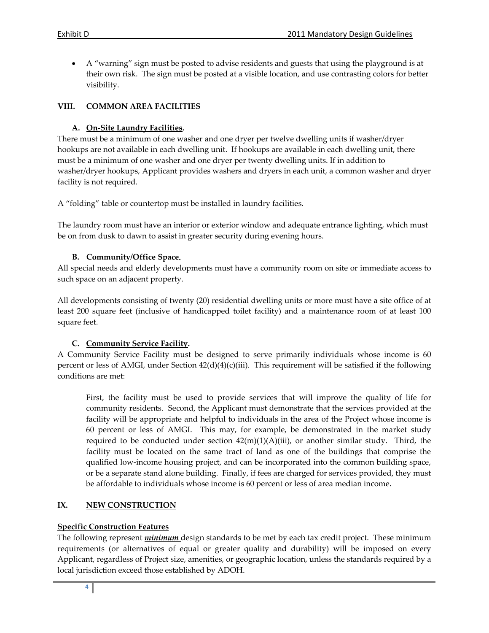• A "warning" sign must be posted to advise residents and guests that using the playground is at their own risk. The sign must be posted at a visible location, and use contrasting colors for better visibility.

### **VIII. COMMON AREA FACILITIES**

### **A. On‐Site Laundry Facilities.**

There must be a minimum of one washer and one dryer per twelve dwelling units if washer/dryer hookups are not available in each dwelling unit. If hookups are available in each dwelling unit, there must be a minimum of one washer and one dryer per twenty dwelling units. If in addition to washer/dryer hookups, Applicant provides washers and dryers in each unit, a common washer and dryer facility is not required.

A "folding" table or countertop must be installed in laundry facilities.

The laundry room must have an interior or exterior window and adequate entrance lighting, which must be on from dusk to dawn to assist in greater security during evening hours.

### **B. Community/Office Space.**

All special needs and elderly developments must have a community room on site or immediate access to such space on an adjacent property.

All developments consisting of twenty (20) residential dwelling units or more must have a site office of at least 200 square feet (inclusive of handicapped toilet facility) and a maintenance room of at least 100 square feet.

### **C. Community Service Facility.**

A Community Service Facility must be designed to serve primarily individuals whose income is 60 percent or less of AMGI, under Section 42(d)(4)(c)(iii). This requirement will be satisfied if the following conditions are met:

First, the facility must be used to provide services that will improve the quality of life for community residents. Second, the Applicant must demonstrate that the services provided at the facility will be appropriate and helpful to individuals in the area of the Project whose income is 60 percent or less of AMGI. This may, for example, be demonstrated in the market study required to be conducted under section  $42(m)(1)(A)(iii)$ , or another similar study. Third, the facility must be located on the same tract of land as one of the buildings that comprise the qualified low‐income housing project, and can be incorporated into the common building space, or be a separate stand alone building. Finally, if fees are charged for services provided, they must be affordable to individuals whose income is 60 percent or less of area median income.

### **IX. NEW CONSTRUCTION**

### **Specific Construction Features**

The following represent *minimum* design standards to be met by each tax credit project. These minimum requirements (or alternatives of equal or greater quality and durability) will be imposed on every Applicant, regardless of Project size, amenities, or geographic location, unless the standards required by a local jurisdiction exceed those established by ADOH.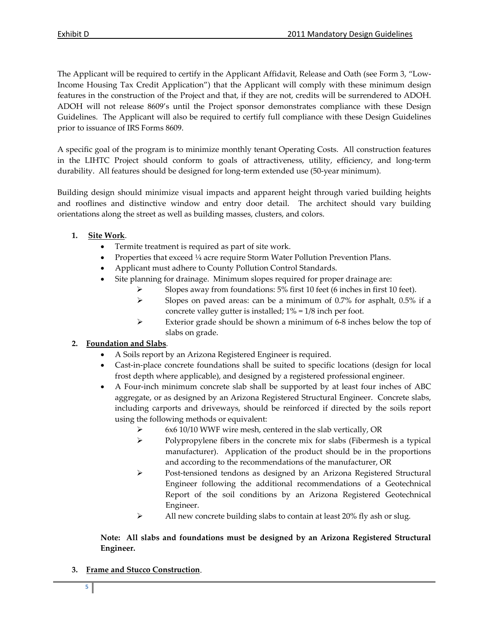The Applicant will be required to certify in the Applicant Affidavit, Release and Oath (see Form 3, "Low‐ Income Housing Tax Credit Application") that the Applicant will comply with these minimum design features in the construction of the Project and that, if they are not, credits will be surrendered to ADOH. ADOH will not release 8609's until the Project sponsor demonstrates compliance with these Design Guidelines. The Applicant will also be required to certify full compliance with these Design Guidelines prior to issuance of IRS Forms 8609.

A specific goal of the program is to minimize monthly tenant Operating Costs. All construction features in the LIHTC Project should conform to goals of attractiveness, utility, efficiency, and long-term durability. All features should be designed for long-term extended use (50-year minimum).

Building design should minimize visual impacts and apparent height through varied building heights and rooflines and distinctive window and entry door detail. The architect should vary building orientations along the street as well as building masses, clusters, and colors.

### **1. Site Work**.

- Termite treatment is required as part of site work.
- Properties that exceed 1/4 acre require Storm Water Pollution Prevention Plans.
- Applicant must adhere to County Pollution Control Standards.
- Site planning for drainage. Minimum slopes required for proper drainage are:
	- ¾ Slopes away from foundations: 5% first 10 feet (6 inches in first 10 feet).
	- ¾ Slopes on paved areas: can be a minimum of 0.7% for asphalt, 0.5% if a concrete valley gutter is installed; 1% = 1/8 inch per foot.
	- $\triangleright$  Exterior grade should be shown a minimum of 6-8 inches below the top of slabs on grade.

### **2. Foundation and Slabs**.

- A Soils report by an Arizona Registered Engineer is required.
- Cast-in-place concrete foundations shall be suited to specific locations (design for local frost depth where applicable), and designed by a registered professional engineer.
- A Four‐inch minimum concrete slab shall be supported by at least four inches of ABC aggregate, or as designed by an Arizona Registered Structural Engineer. Concrete slabs, including carports and driveways, should be reinforced if directed by the soils report using the following methods or equivalent:
	- ¾ 6x6 10/10 WWF wire mesh, centered in the slab vertically, OR
	- ¾ Polypropylene fibers in the concrete mix for slabs (Fibermesh is a typical manufacturer). Application of the product should be in the proportions and according to the recommendations of the manufacturer, OR
	- ¾ Post‐tensioned tendons as designed by an Arizona Registered Structural Engineer following the additional recommendations of a Geotechnical Report of the soil conditions by an Arizona Registered Geotechnical Engineer.
	- ¾ All new concrete building slabs to contain at least 20% fly ash or slug.

### **Note: All slabs and foundations must be designed by an Arizona Registered Structural Engineer.**

**3. Frame and Stucco Construction**.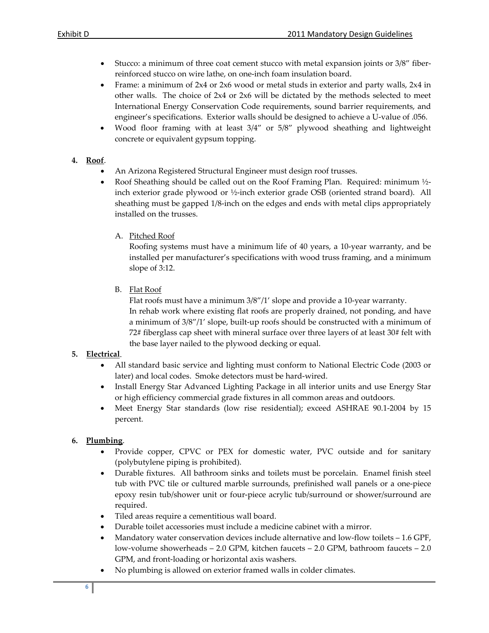- Stucco: a minimum of three coat cement stucco with metal expansion joints or 3/8" fiberreinforced stucco on wire lathe, on one‐inch foam insulation board.
- Frame: a minimum of 2x4 or 2x6 wood or metal studs in exterior and party walls, 2x4 in other walls. The choice of 2x4 or 2x6 will be dictated by the methods selected to meet International Energy Conservation Code requirements, sound barrier requirements, and engineer's specifications. Exterior walls should be designed to achieve a U‐value of .056.
- Wood floor framing with at least 3/4" or 5/8" plywood sheathing and lightweight concrete or equivalent gypsum topping.

### **4. Roof**.

- An Arizona Registered Structural Engineer must design roof trusses.
- Roof Sheathing should be called out on the Roof Framing Plan. Required: minimum 1/2inch exterior grade plywood or ½‐inch exterior grade OSB (oriented strand board). All sheathing must be gapped 1/8‐inch on the edges and ends with metal clips appropriately installed on the trusses.
	- A. Pitched Roof

Roofing systems must have a minimum life of 40 years, a 10‐year warranty, and be installed per manufacturer's specifications with wood truss framing, and a minimum slope of 3:12.

B. Flat Roof

Flat roofs must have a minimum 3/8"/1' slope and provide a 10‐year warranty. In rehab work where existing flat roofs are properly drained, not ponding, and have a minimum of  $3/8''/1'$  slope, built-up roofs should be constructed with a minimum of 72# fiberglass cap sheet with mineral surface over three layers of at least 30# felt with the base layer nailed to the plywood decking or equal.

# **5. Electrical**.

- All standard basic service and lighting must conform to National Electric Code (2003 or later) and local codes. Smoke detectors must be hard‐wired.
- Install Energy Star Advanced Lighting Package in all interior units and use Energy Star or high efficiency commercial grade fixtures in all common areas and outdoors.
- Meet Energy Star standards (low rise residential); exceed ASHRAE 90.1-2004 by 15 percent.

# **6. Plumbing**.

- Provide copper, CPVC or PEX for domestic water, PVC outside and for sanitary (polybutylene piping is prohibited).
- Durable fixtures. All bathroom sinks and toilets must be porcelain. Enamel finish steel tub with PVC tile or cultured marble surrounds, prefinished wall panels or a one‐piece epoxy resin tub/shower unit or four‐piece acrylic tub/surround or shower/surround are required.
- Tiled areas require a cementitious wall board.
- Durable toilet accessories must include a medicine cabinet with a mirror.
- Mandatory water conservation devices include alternative and low‐flow toilets 1.6 GPF, low‐volume showerheads – 2.0 GPM, kitchen faucets – 2.0 GPM, bathroom faucets – 2.0 GPM, and front‐loading or horizontal axis washers.
- No plumbing is allowed on exterior framed walls in colder climates.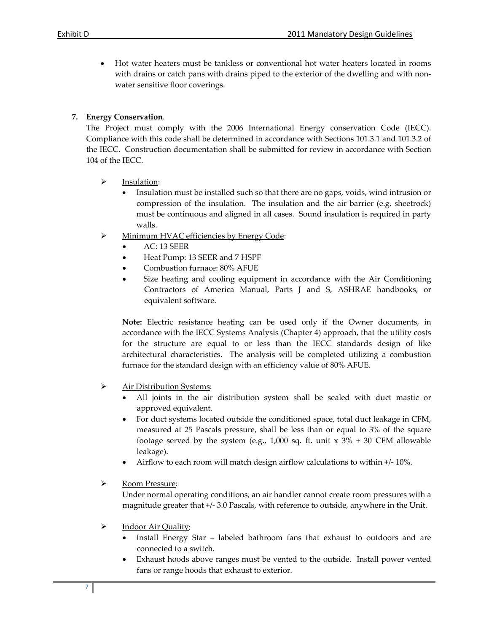• Hot water heaters must be tankless or conventional hot water heaters located in rooms with drains or catch pans with drains piped to the exterior of the dwelling and with nonwater sensitive floor coverings.

### **7. Energy Conservation**.

The Project must comply with the 2006 International Energy conservation Code (IECC). Compliance with this code shall be determined in accordance with Sections 101.3.1 and 101.3.2 of the IECC. Construction documentation shall be submitted for review in accordance with Section 104 of the IECC.

- $\triangleright$  Insulation:
	- Insulation must be installed such so that there are no gaps, voids, wind intrusion or compression of the insulation. The insulation and the air barrier (e.g. sheetrock) must be continuous and aligned in all cases. Sound insulation is required in party walls.
- ¾ Minimum HVAC efficiencies by Energy Code:
	- AC: 13 SEER
	- Heat Pump: 13 SEER and 7 HSPF
	- Combustion furnace: 80% AFUE
	- Size heating and cooling equipment in accordance with the Air Conditioning Contractors of America Manual, Parts J and S, ASHRAE handbooks, or equivalent software.

**Note:** Electric resistance heating can be used only if the Owner documents, in accordance with the IECC Systems Analysis (Chapter 4) approach, that the utility costs for the structure are equal to or less than the IECC standards design of like architectural characteristics. The analysis will be completed utilizing a combustion furnace for the standard design with an efficiency value of 80% AFUE.

- ¾ Air Distribution Systems:
	- All joints in the air distribution system shall be sealed with duct mastic or approved equivalent.
	- For duct systems located outside the conditioned space, total duct leakage in CFM, measured at 25 Pascals pressure, shall be less than or equal to 3% of the square footage served by the system (e.g., 1,000 sq. ft. unit  $x$  3% + 30 CFM allowable leakage).
	- Airflow to each room will match design airflow calculations to within +/‐ 10%.
- ¾ Room Pressure:

Under normal operating conditions, an air handler cannot create room pressures with a magnitude greater that +/‐ 3.0 Pascals, with reference to outside, anywhere in the Unit.

- ¾ Indoor Air Quality:
	- Install Energy Star labeled bathroom fans that exhaust to outdoors and are connected to a switch.
	- Exhaust hoods above ranges must be vented to the outside. Install power vented fans or range hoods that exhaust to exterior.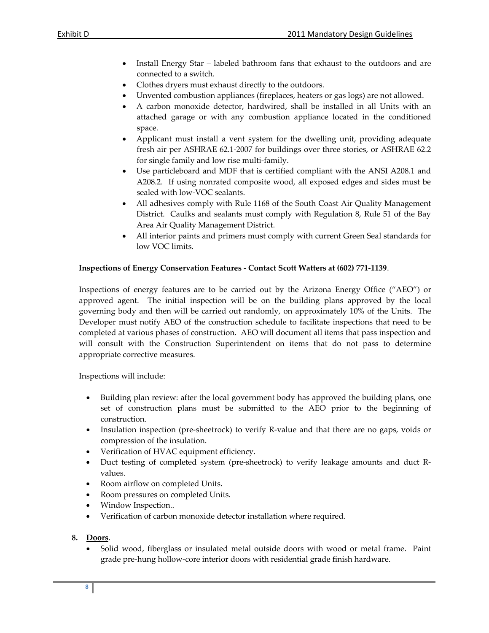- Install Energy Star labeled bathroom fans that exhaust to the outdoors and are connected to a switch.
- Clothes dryers must exhaust directly to the outdoors.
- Unvented combustion appliances (fireplaces, heaters or gas logs) are not allowed.
- A carbon monoxide detector, hardwired, shall be installed in all Units with an attached garage or with any combustion appliance located in the conditioned space.
- Applicant must install a vent system for the dwelling unit, providing adequate fresh air per ASHRAE 62.1‐2007 for buildings over three stories, or ASHRAE 62.2 for single family and low rise multi-family.
- Use particleboard and MDF that is certified compliant with the ANSI A208.1 and A208.2. If using nonrated composite wood, all exposed edges and sides must be sealed with low‐VOC sealants.
- All adhesives comply with Rule 1168 of the South Coast Air Quality Management District. Caulks and sealants must comply with Regulation 8, Rule 51 of the Bay Area Air Quality Management District.
- All interior paints and primers must comply with current Green Seal standards for low VOC limits.

### **Inspections of Energy Conservation Features ‐ Contact Scott Watters at (602) 771‐1139**.

Inspections of energy features are to be carried out by the Arizona Energy Office ("AEO") or approved agent. The initial inspection will be on the building plans approved by the local governing body and then will be carried out randomly, on approximately 10% of the Units. The Developer must notify AEO of the construction schedule to facilitate inspections that need to be completed at various phases of construction. AEO will document all items that pass inspection and will consult with the Construction Superintendent on items that do not pass to determine appropriate corrective measures.

Inspections will include:

- Building plan review: after the local government body has approved the building plans, one set of construction plans must be submitted to the AEO prior to the beginning of construction.
- Insulation inspection (pre-sheetrock) to verify R-value and that there are no gaps, voids or compression of the insulation.
- Verification of HVAC equipment efficiency.
- Duct testing of completed system (pre-sheetrock) to verify leakage amounts and duct Rvalues.
- Room airflow on completed Units.
- Room pressures on completed Units.
- Window Inspection..
- Verification of carbon monoxide detector installation where required.
- **8. Doors**.
	- Solid wood, fiberglass or insulated metal outside doors with wood or metal frame. Paint grade pre‐hung hollow‐core interior doors with residential grade finish hardware.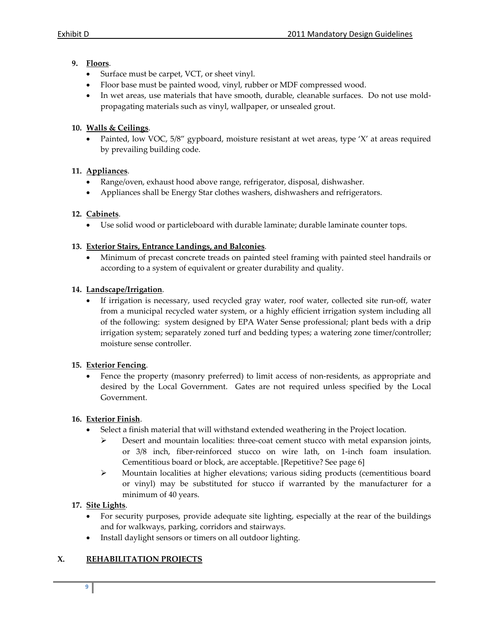### **9. Floors**.

- Surface must be carpet, VCT, or sheet vinyl.
- Floor base must be painted wood, vinyl, rubber or MDF compressed wood.
- In wet areas, use materials that have smooth, durable, cleanable surfaces. Do not use moldpropagating materials such as vinyl, wallpaper, or unsealed grout.

### **10. Walls & Ceilings**.

• Painted, low VOC, 5/8" gypboard, moisture resistant at wet areas, type 'X' at areas required by prevailing building code.

### **11. Appliances**.

- Range/oven, exhaust hood above range, refrigerator, disposal, dishwasher.
- Appliances shall be Energy Star clothes washers, dishwashers and refrigerators.

### **12. Cabinets**.

Use solid wood or particleboard with durable laminate; durable laminate counter tops.

### **13. Exterior Stairs, Entrance Landings, and Balconies**.

• Minimum of precast concrete treads on painted steel framing with painted steel handrails or according to a system of equivalent or greater durability and quality.

### **14. Landscape/Irrigation**.

• If irrigation is necessary, used recycled gray water, roof water, collected site run-off, water from a municipal recycled water system, or a highly efficient irrigation system including all of the following: system designed by EPA Water Sense professional; plant beds with a drip irrigation system; separately zoned turf and bedding types; a watering zone timer/controller; moisture sense controller.

#### **15. Exterior Fencing**.

• Fence the property (masonry preferred) to limit access of non-residents, as appropriate and desired by the Local Government. Gates are not required unless specified by the Local Government.

#### **16. Exterior Finish**.

- Select a finish material that will withstand extended weathering in the Project location.
	- ¾ Desert and mountain localities: three‐coat cement stucco with metal expansion joints, or 3/8 inch, fiber‐reinforced stucco on wire lath, on 1‐inch foam insulation. Cementitious board or block, are acceptable. [Repetitive? See page 6]
	- ¾ Mountain localities at higher elevations; various siding products (cementitious board or vinyl) may be substituted for stucco if warranted by the manufacturer for a minimum of 40 years.

### **17. Site Lights**.

- For security purposes, provide adequate site lighting, especially at the rear of the buildings and for walkways, parking, corridors and stairways.
- Install daylight sensors or timers on all outdoor lighting.

### **X. REHABILITATION PROJECTS**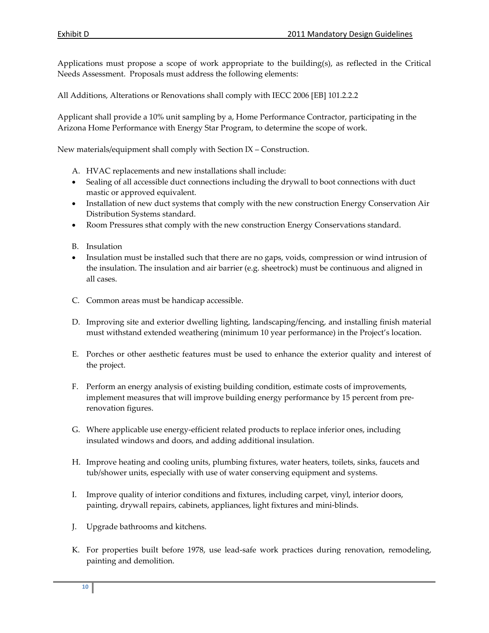Applications must propose a scope of work appropriate to the building(s), as reflected in the Critical Needs Assessment. Proposals must address the following elements:

All Additions, Alterations or Renovations shall comply with IECC 2006 [EB] 101.2.2.2

Applicant shall provide a 10% unit sampling by a, Home Performance Contractor, participating in the Arizona Home Performance with Energy Star Program, to determine the scope of work.

New materials/equipment shall comply with Section IX – Construction.

- A. HVAC replacements and new installations shall include:
- Sealing of all accessible duct connections including the drywall to boot connections with duct mastic or approved equivalent.
- Installation of new duct systems that comply with the new construction Energy Conservation Air Distribution Systems standard.
- Room Pressures sthat comply with the new construction Energy Conservations standard.
- B. Insulation
- Insulation must be installed such that there are no gaps, voids, compression or wind intrusion of the insulation. The insulation and air barrier (e.g. sheetrock) must be continuous and aligned in all cases.
- C. Common areas must be handicap accessible.
- D. Improving site and exterior dwelling lighting, landscaping/fencing, and installing finish material must withstand extended weathering (minimum 10 year performance) in the Project's location.
- E. Porches or other aesthetic features must be used to enhance the exterior quality and interest of the project.
- F. Perform an energy analysis of existing building condition, estimate costs of improvements, implement measures that will improve building energy performance by 15 percent from prerenovation figures.
- G. Where applicable use energy‐efficient related products to replace inferior ones, including insulated windows and doors, and adding additional insulation.
- H. Improve heating and cooling units, plumbing fixtures, water heaters, toilets, sinks, faucets and tub/shower units, especially with use of water conserving equipment and systems.
- I. Improve quality of interior conditions and fixtures, including carpet, vinyl, interior doors, painting, drywall repairs, cabinets, appliances, light fixtures and mini-blinds.
- J. Upgrade bathrooms and kitchens.
- K. For properties built before 1978, use lead-safe work practices during renovation, remodeling, painting and demolition.